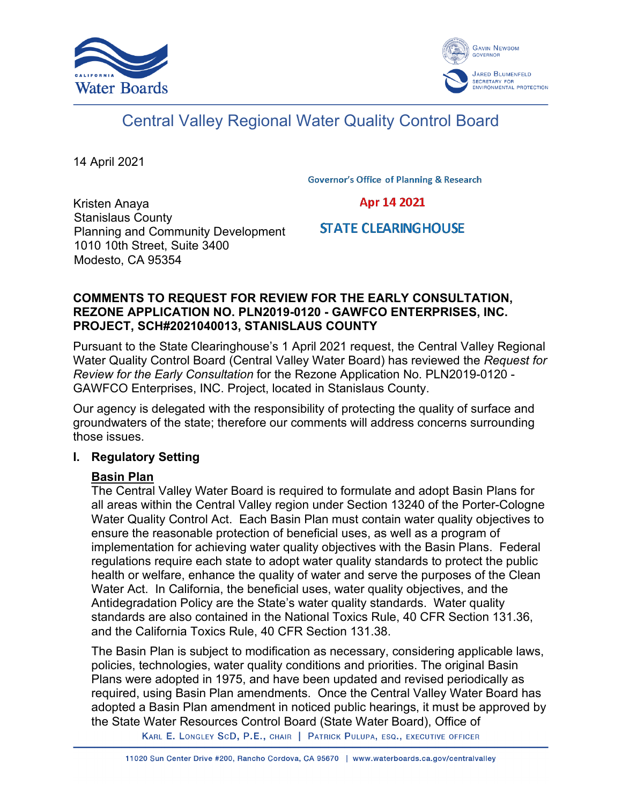



# Central Valley Regional Water Quality Control Board

14 April 2021

**Governor's Office of Planning & Research** 

Kristen Anaya Stanislaus County Planning and Community Development 1010 10th Street, Suite 3400 Modesto, CA 95354

Apr 14 2021

## **STATE CLEARINGHOUSE**

#### **COMMENTS TO REQUEST FOR REVIEW FOR THE EARLY CONSULTATION, REZONE APPLICATION NO. PLN2019-0120 - GAWFCO ENTERPRISES, INC. PROJECT, SCH#2021040013, STANISLAUS COUNTY**

Pursuant to the State Clearinghouse's 1 April 2021 request, the Central Valley Regional Water Quality Control Board (Central Valley Water Board) has reviewed the *Request for Review for the Early Consultation* for the Rezone Application No. PLN2019-0120 - GAWFCO Enterprises, INC. Project, located in Stanislaus County.

Our agency is delegated with the responsibility of protecting the quality of surface and groundwaters of the state; therefore our comments will address concerns surrounding those issues.

#### **I. Regulatory Setting**

## **Basin Plan**

The Central Valley Water Board is required to formulate and adopt Basin Plans for all areas within the Central Valley region under Section 13240 of the Porter-Cologne Water Quality Control Act. Each Basin Plan must contain water quality objectives to ensure the reasonable protection of beneficial uses, as well as a program of implementation for achieving water quality objectives with the Basin Plans. Federal regulations require each state to adopt water quality standards to protect the public health or welfare, enhance the quality of water and serve the purposes of the Clean Water Act. In California, the beneficial uses, water quality objectives, and the Antidegradation Policy are the State's water quality standards. Water quality standards are also contained in the National Toxics Rule, 40 CFR Section 131.36, and the California Toxics Rule, 40 CFR Section 131.38.

The Basin Plan is subject to modification as necessary, considering applicable laws, policies, technologies, water quality conditions and priorities. The original Basin Plans were adopted in 1975, and have been updated and revised periodically as required, using Basin Plan amendments. Once the Central Valley Water Board has adopted a Basin Plan amendment in noticed public hearings, it must be approved by the State Water Resources Control Board (State Water Board), Office of

KARL E. LONGLEY SCD, P.E., CHAIR | PATRICK PULUPA, ESQ., EXECUTIVE OFFICER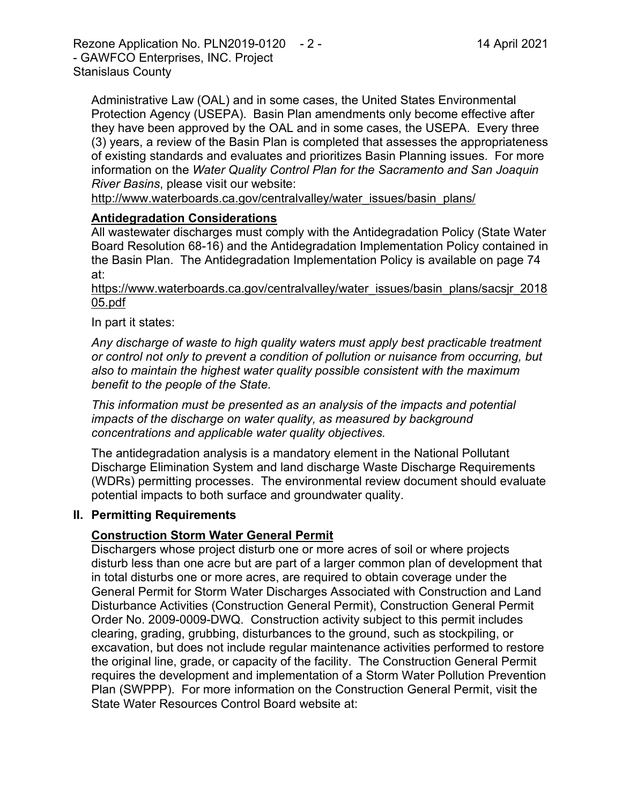Administrative Law (OAL) and in some cases, the United States Environmental Protection Agency (USEPA). Basin Plan amendments only become effective after they have been approved by the OAL and in some cases, the USEPA. Every three (3) years, a review of the Basin Plan is completed that assesses the appropriateness of existing standards and evaluates and prioritizes Basin Planning issues. For more information on the *Water Quality Control Plan for the Sacramento and San Joaquin River Basins*, please visit our website:

[http://www.waterboards.ca.gov/centralvalley/water\\_issues/basin\\_plans/](http://www.waterboards.ca.gov/centralvalley/water_issues/basin_plans/)

#### **Antidegradation Considerations**

All wastewater discharges must comply with the Antidegradation Policy (State Water Board Resolution 68-16) and the Antidegradation Implementation Policy contained in the Basin Plan. The Antidegradation Implementation Policy is available on page 74 at:

https://www.waterboards.ca.gov/centralvalley/water\_issues/basin\_plans/sacsjr\_2018 05.pdf

In part it states:

*Any discharge of waste to high quality waters must apply best practicable treatment or control not only to prevent a condition of pollution or nuisance from occurring, but also to maintain the highest water quality possible consistent with the maximum benefit to the people of the State.*

*This information must be presented as an analysis of the impacts and potential impacts of the discharge on water quality, as measured by background concentrations and applicable water quality objectives.*

The antidegradation analysis is a mandatory element in the National Pollutant Discharge Elimination System and land discharge Waste Discharge Requirements (WDRs) permitting processes. The environmental review document should evaluate potential impacts to both surface and groundwater quality.

#### **II. Permitting Requirements**

#### **Construction Storm Water General Permit**

Dischargers whose project disturb one or more acres of soil or where projects disturb less than one acre but are part of a larger common plan of development that in total disturbs one or more acres, are required to obtain coverage under the General Permit for Storm Water Discharges Associated with Construction and Land Disturbance Activities (Construction General Permit), Construction General Permit Order No. 2009-0009-DWQ. Construction activity subject to this permit includes clearing, grading, grubbing, disturbances to the ground, such as stockpiling, or excavation, but does not include regular maintenance activities performed to restore the original line, grade, or capacity of the facility. The Construction General Permit requires the development and implementation of a Storm Water Pollution Prevention Plan (SWPPP). For more information on the Construction General Permit, visit the State Water Resources Control Board website at: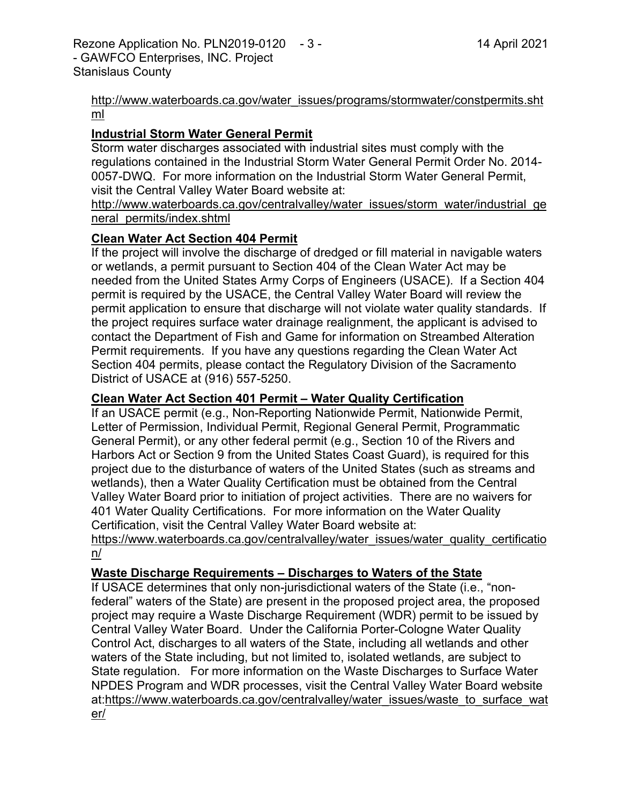[http://www.waterboards.ca.gov/water\\_issues/programs/stormwater/constpermits.sht](http://www.waterboards.ca.gov/water_issues/programs/stormwater/constpermits.shtml) [ml](http://www.waterboards.ca.gov/water_issues/programs/stormwater/constpermits.shtml)

#### **Industrial Storm Water General Permit**

Storm water discharges associated with industrial sites must comply with the regulations contained in the Industrial Storm Water General Permit Order No. 2014- 0057-DWQ. For more information on the Industrial Storm Water General Permit, visit the Central Valley Water Board website at:

http://www.waterboards.ca.gov/centralvalley/water\_issues/storm\_water/industrial\_ge neral\_permits/index.shtml

#### **Clean Water Act Section 404 Permit**

If the project will involve the discharge of dredged or fill material in navigable waters or wetlands, a permit pursuant to Section 404 of the Clean Water Act may be needed from the United States Army Corps of Engineers (USACE). If a Section 404 permit is required by the USACE, the Central Valley Water Board will review the permit application to ensure that discharge will not violate water quality standards. If the project requires surface water drainage realignment, the applicant is advised to contact the Department of Fish and Game for information on Streambed Alteration Permit requirements. If you have any questions regarding the Clean Water Act Section 404 permits, please contact the Regulatory Division of the Sacramento District of USACE at (916) 557-5250.

#### **Clean Water Act Section 401 Permit – Water Quality Certification**

If an USACE permit (e.g., Non-Reporting Nationwide Permit, Nationwide Permit, Letter of Permission, Individual Permit, Regional General Permit, Programmatic General Permit), or any other federal permit (e.g., Section 10 of the Rivers and Harbors Act or Section 9 from the United States Coast Guard), is required for this project due to the disturbance of waters of the United States (such as streams and wetlands), then a Water Quality Certification must be obtained from the Central Valley Water Board prior to initiation of project activities. There are no waivers for 401 Water Quality Certifications. For more information on the Water Quality Certification, visit the Central Valley Water Board website at:

https://www.waterboards.ca.gov/centralvalley/water\_issues/water\_quality\_certificatio n/

## **Waste Discharge Requirements – Discharges to Waters of the State**

If USACE determines that only non-jurisdictional waters of the State (i.e., "nonfederal" waters of the State) are present in the proposed project area, the proposed project may require a Waste Discharge Requirement (WDR) permit to be issued by Central Valley Water Board. Under the California Porter-Cologne Water Quality Control Act, discharges to all waters of the State, including all wetlands and other waters of the State including, but not limited to, isolated wetlands, are subject to State regulation. For more information on the Waste Discharges to Surface Water NPDES Program and WDR processes, visit the Central Valley Water Board website at:https://www.waterboards.ca.gov/centralvalley/water\_issues/waste\_to\_surface\_wat er/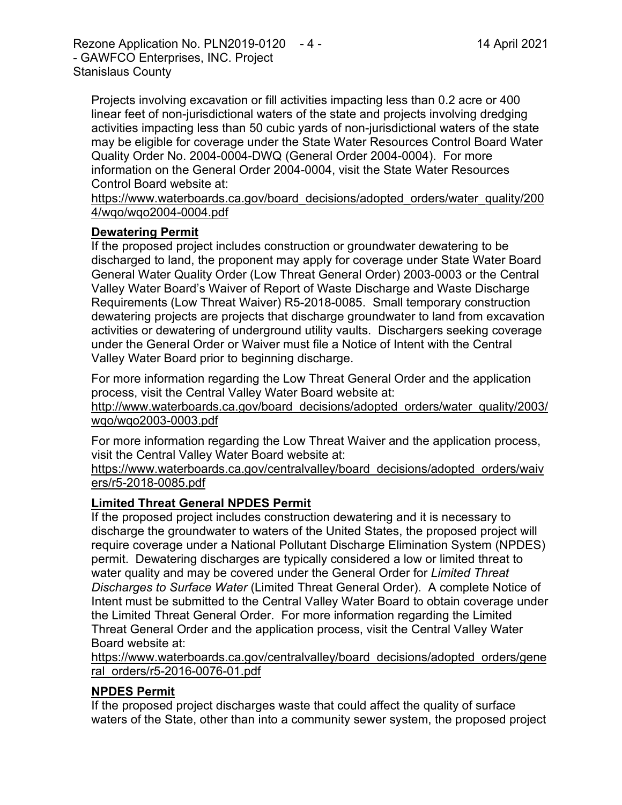Rezone Application No. PLN2019-0120 - 4 - 14 April 2021 - GAWFCO Enterprises, INC. Project Stanislaus County

Projects involving excavation or fill activities impacting less than 0.2 acre or 400 linear feet of non-jurisdictional waters of the state and projects involving dredging activities impacting less than 50 cubic yards of non-jurisdictional waters of the state may be eligible for coverage under the State Water Resources Control Board Water Quality Order No. 2004-0004-DWQ (General Order 2004-0004). For more information on the General Order 2004-0004, visit the State Water Resources Control Board website at:

https://www.waterboards.ca.gov/board\_decisions/adopted\_orders/water\_quality/200 4/wqo/wqo2004-0004.pdf

#### **Dewatering Permit**

If the proposed project includes construction or groundwater dewatering to be discharged to land, the proponent may apply for coverage under State Water Board General Water Quality Order (Low Threat General Order) 2003-0003 or the Central Valley Water Board's Waiver of Report of Waste Discharge and Waste Discharge Requirements (Low Threat Waiver) R5-2018-0085. Small temporary construction dewatering projects are projects that discharge groundwater to land from excavation activities or dewatering of underground utility vaults. Dischargers seeking coverage under the General Order or Waiver must file a Notice of Intent with the Central Valley Water Board prior to beginning discharge.

For more information regarding the Low Threat General Order and the application process, visit the Central Valley Water Board website at:

http://www.waterboards.ca.gov/board\_decisions/adopted\_orders/water\_quality/2003/ wqo/wqo2003-0003.pdf

For more information regarding the Low Threat Waiver and the application process, visit the Central Valley Water Board website at:

https://www.waterboards.ca.gov/centralvalley/board\_decisions/adopted\_orders/waiv ers/r5-2018-0085.pdf

#### **Limited Threat General NPDES Permit**

If the proposed project includes construction dewatering and it is necessary to discharge the groundwater to waters of the United States, the proposed project will require coverage under a National Pollutant Discharge Elimination System (NPDES) permit. Dewatering discharges are typically considered a low or limited threat to water quality and may be covered under the General Order for *Limited Threat Discharges to Surface Water* (Limited Threat General Order). A complete Notice of Intent must be submitted to the Central Valley Water Board to obtain coverage under the Limited Threat General Order. For more information regarding the Limited Threat General Order and the application process, visit the Central Valley Water Board website at:

https://www.waterboards.ca.gov/centralvalley/board\_decisions/adopted\_orders/gene ral\_orders/r5-2016-0076-01.pdf

#### **NPDES Permit**

If the proposed project discharges waste that could affect the quality of surface waters of the State, other than into a community sewer system, the proposed project